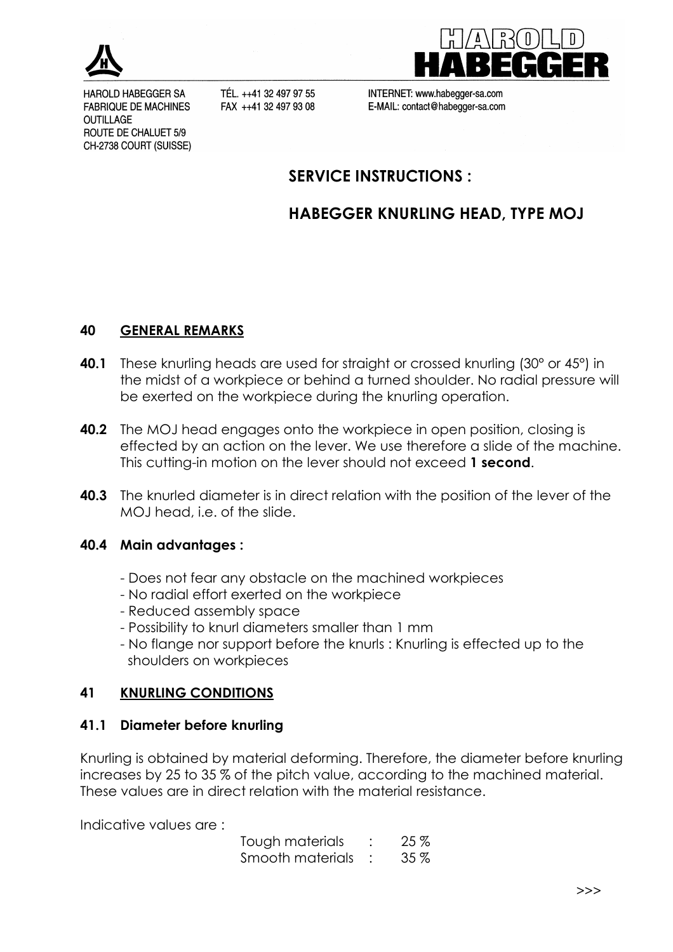

HAROLD HABEGGER SA **FABRIQUE DE MACHINES OUTILLAGE** ROUTE DE CHALUET 5/9 CH-2738 COURT (SUISSE)

TÉL. ++41 32 497 97 55 FAX ++41 32 497 93 08



INTERNET: www.habegger-sa.com E-MAIL: contact@habegger-sa.com

## SERVICE INSTRUCTIONS :

# HABEGGER KNURLING HEAD, TYPE MOJ

#### 40 GENERAL REMARKS

- 40.1 These knurling heads are used for straight or crossed knurling (30° or 45°) in the midst of a workpiece or behind a turned shoulder. No radial pressure will be exerted on the workpiece during the knurling operation.
- **40.2** The MOJ head engages onto the workpiece in open position, closing is effected by an action on the lever. We use therefore a slide of the machine. This cutting-in motion on the lever should not exceed 1 second.
- **40.3** The knurled diameter is in direct relation with the position of the lever of the MOJ head, i.e. of the slide.

#### 40.4 Main advantages :

- Does not fear any obstacle on the machined workpieces
- No radial effort exerted on the workpiece
- Reduced assembly space
- Possibility to knurl diameters smaller than 1 mm
- No flange nor support before the knurls : Knurling is effected up to the shoulders on workpieces

### 41 KNURLING CONDITIONS

### 41.1 Diameter before knurling

Knurling is obtained by material deforming. Therefore, the diameter before knurling increases by 25 to 35 % of the pitch value, according to the machined material. These values are in direct relation with the material resistance.

Indicative values are :

 Tough materials : 25 % Smooth materials : 35 %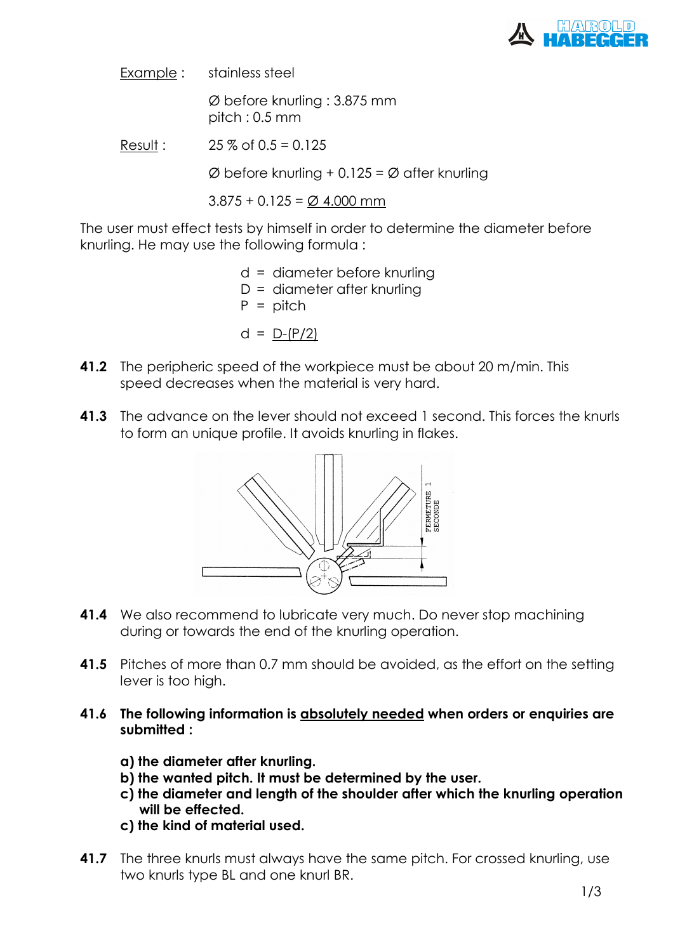

Example : stainless steel

 Ø before knurling : 3.875 mm pitch : 0.5 mm

Result :  $25\%$  of  $0.5 = 0.125$ 

 $\varnothing$  before knurling + 0.125 =  $\varnothing$  after knurling

 $3.875 + 0.125 = \emptyset$  4.000 mm

The user must effect tests by himself in order to determine the diameter before knurling. He may use the following formula :

> d = diameter before knurling  $D =$  diameter after knurling  $P = \text{pitch}$  $d = D-(P/2)$

- **41.2** The peripheric speed of the workpiece must be about 20 m/min. This speed decreases when the material is very hard.
- 41.3 The advance on the lever should not exceed 1 second. This forces the knurls to form an unique profile. It avoids knurling in flakes.



- **41.4** We also recommend to lubricate very much. Do never stop machining during or towards the end of the knurling operation.
- 41.5 Pitches of more than 0.7 mm should be avoided, as the effort on the setting lever is too high.
- 41.6 The following information is absolutely needed when orders or enquiries are submitted :
	- a) the diameter after knurling.
	- b) the wanted pitch. It must be determined by the user.
	- c) the diameter and length of the shoulder after which the knurling operation will be effected.
	- c) the kind of material used.
- **41.7** The three knurls must always have the same pitch. For crossed knurling, use two knurls type BL and one knurl BR.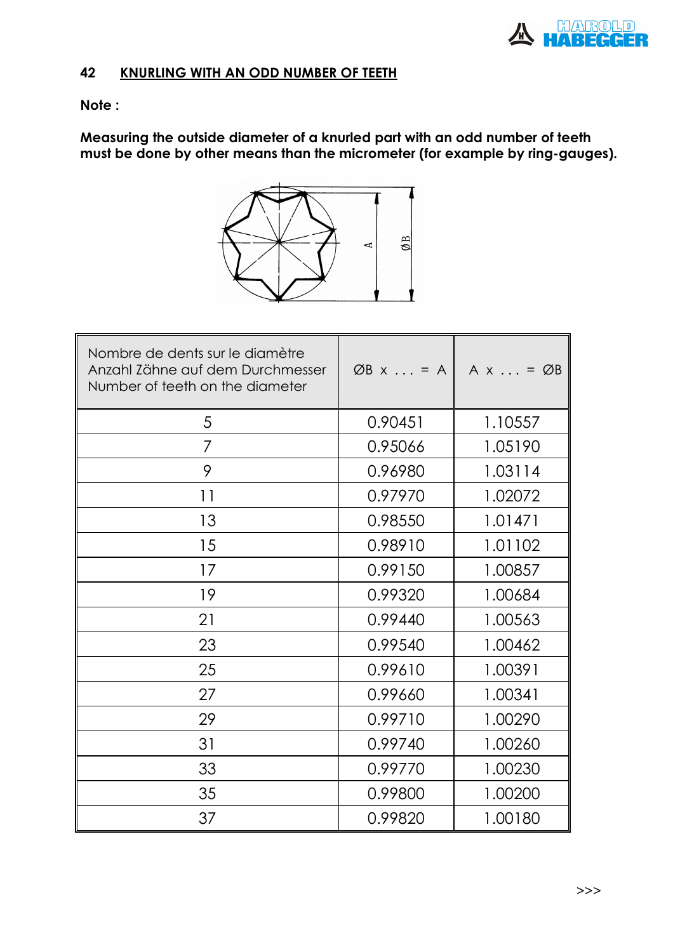

## 42 KNURLING WITH AN ODD NUMBER OF TEETH

#### Note :

Measuring the outside diameter of a knurled part with an odd number of teeth must be done by other means than the micrometer (for example by ring-gauges).



| Nombre de dents sur le diamètre<br>Anzahl Zähne auf dem Durchmesser<br>Number of teeth on the diameter | $ØB \times \ldots = A$ | $A \times \ldots = \emptyset B$ |
|--------------------------------------------------------------------------------------------------------|------------------------|---------------------------------|
| 5                                                                                                      | 0.90451                | 1.10557                         |
| 7                                                                                                      | 0.95066                | 1.05190                         |
| 9                                                                                                      | 0.96980                | 1.03114                         |
| 11                                                                                                     | 0.97970                | 1.02072                         |
| 13                                                                                                     | 0.98550                | 1.01471                         |
| 15                                                                                                     | 0.98910                | 1.01102                         |
| 17                                                                                                     | 0.99150                | 1.00857                         |
| 19                                                                                                     | 0.99320                | 1.00684                         |
| 21                                                                                                     | 0.99440                | 1.00563                         |
| 23                                                                                                     | 0.99540                | 1.00462                         |
| 25                                                                                                     | 0.99610                | 1.00391                         |
| 27                                                                                                     | 0.99660                | 1.00341                         |
| 29                                                                                                     | 0.99710                | 1.00290                         |
| 31                                                                                                     | 0.99740                | 1.00260                         |
| 33                                                                                                     | 0.99770                | 1.00230                         |
| 35                                                                                                     | 0.99800                | 1.00200                         |
| 37                                                                                                     | 0.99820                | 1.00180                         |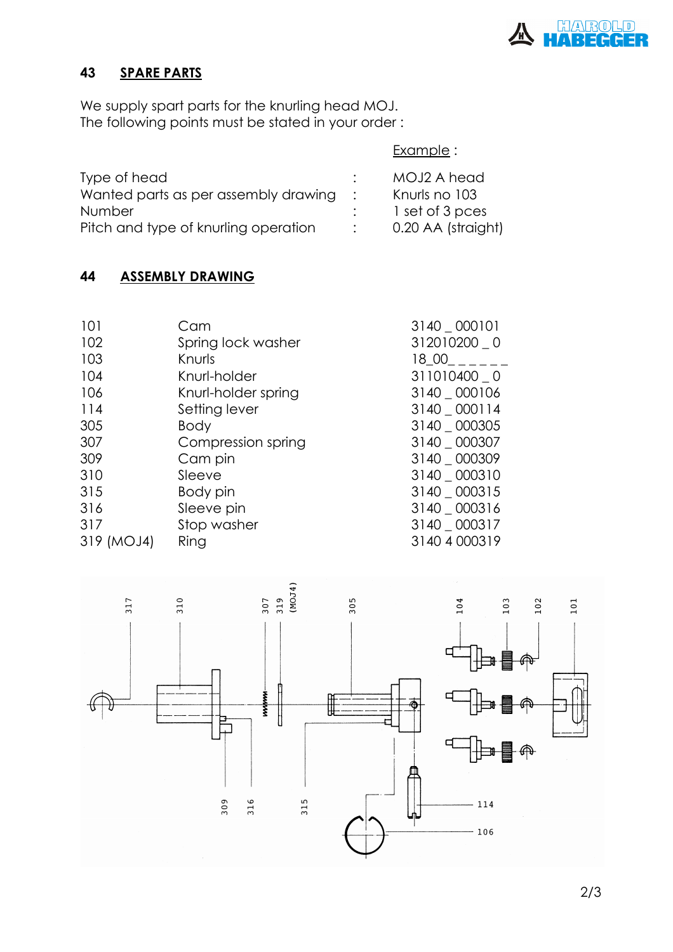

## 43 SPARE PARTS

We supply spart parts for the knurling head MOJ. The following points must be stated in your order :

|  | Example : |
|--|-----------|
|--|-----------|

| Type of head                         | MOJ2 A head        |
|--------------------------------------|--------------------|
| Wanted parts as per assembly drawing | Knurls no 103      |
| <b>Number</b>                        | 1 set of 3 pces    |
| Pitch and type of knurling operation | 0.20 AA (straight) |

# 44 ASSEMBLY DRAWING

| 101        | Cam                 | 3140 _ 000101 |
|------------|---------------------|---------------|
| 102        | Spring lock washer  | 312010200 _ 0 |
| 103        | Knurls              | 18 00         |
| 104        | Knurl-holder        | 311010400 0   |
| 106        | Knurl-holder spring | 3140 000106   |
| 114        | Setting lever       | 3140 _ 000114 |
| 305        | <b>Body</b>         | 3140 000305   |
| 307        | Compression spring  | 3140 _ 000307 |
| 309        | Cam pin             | 3140 _ 000309 |
| 310        | Sleeve              | 3140 _ 000310 |
| 315        | Body pin            | 3140 _ 000315 |
| 316        | Sleeve pin          | 3140 _ 000316 |
| 317        | Stop washer         | 3140 _ 000317 |
| 319 (MOJ4) | Ring                | 3140 4 000319 |

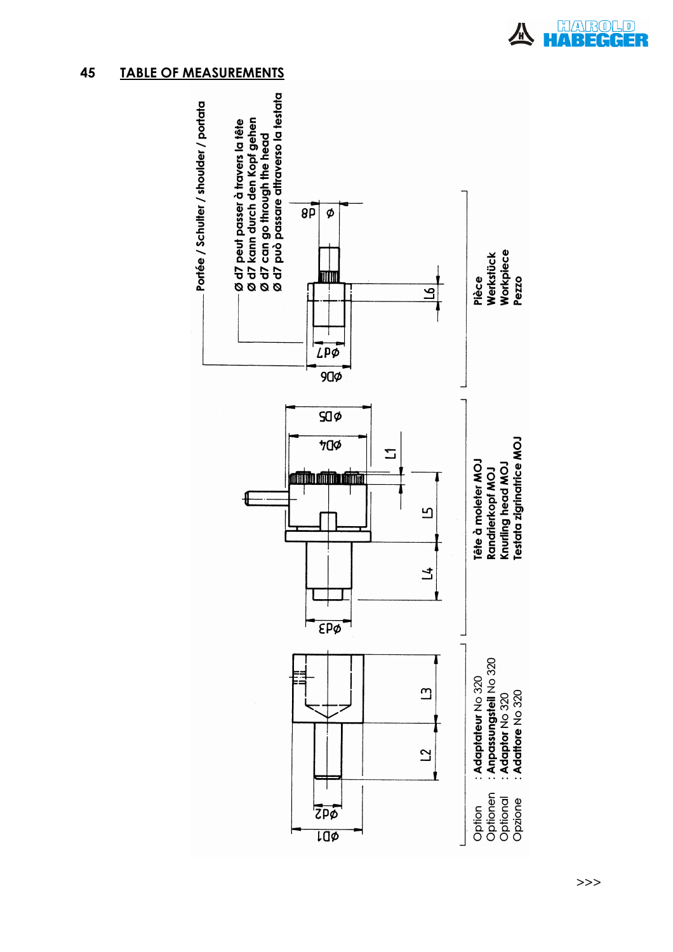### 45 TABLE OF MEASUREMENTS